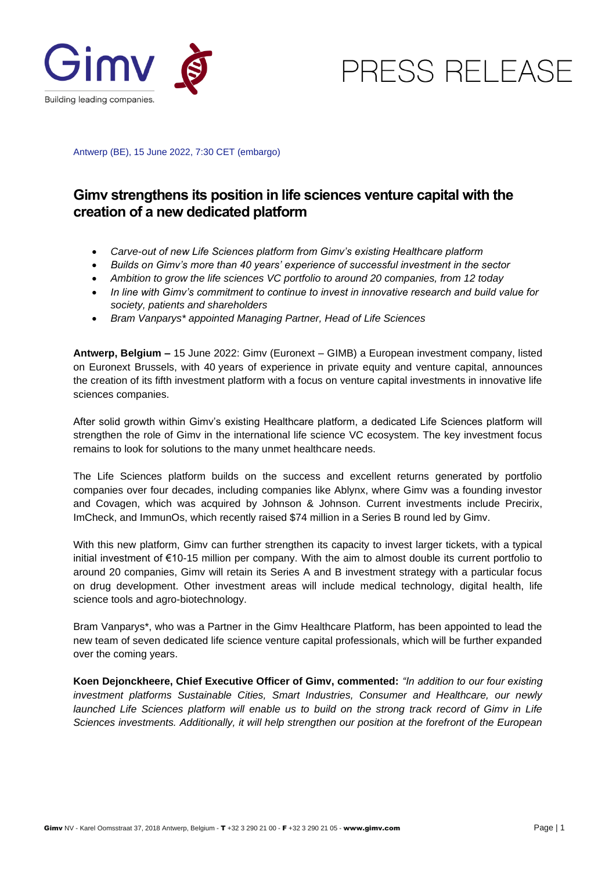

PRESS RELEASE

Antwerp (BE), 15 June 2022, 7:30 CET (embargo)

## **Gimv strengthens its position in life sciences venture capital with the creation of a new dedicated platform**

- *Carve-out of new Life Sciences platform from Gimv's existing Healthcare platform*
- *Builds on Gimv's more than 40 years' experience of successful investment in the sector*
- *Ambition to grow the life sciences VC portfolio to around 20 companies, from 12 today*
- *In line with Gimv's commitment to continue to invest in innovative research and build value for society, patients and shareholders*
- *Bram Vanparys\* appointed Managing Partner, Head of Life Sciences*

**Antwerp, Belgium –** 15 June 2022: Gimv (Euronext – GIMB) a European investment company, listed on Euronext Brussels, with 40 years of experience in private equity and venture capital, announces the creation of its fifth investment platform with a focus on venture capital investments in innovative life sciences companies.

After solid growth within Gimv's existing Healthcare platform, a dedicated Life Sciences platform will strengthen the role of Gimv in the international life science VC ecosystem. The key investment focus remains to look for solutions to the many unmet healthcare needs.

The Life Sciences platform builds on the success and excellent returns generated by portfolio companies over four decades, including companies like Ablynx, where Gimv was a founding investor and Covagen, which was acquired by Johnson & Johnson. Current investments include Precirix, ImCheck, and ImmunOs, which recently raised \$74 million in a Series B round led by Gimv.

With this new platform, Gimv can further strengthen its capacity to invest larger tickets, with a typical initial investment of €10-15 million per company. With the aim to almost double its current portfolio to around 20 companies, Gimv will retain its Series A and B investment strategy with a particular focus on drug development. Other investment areas will include medical technology, digital health, life science tools and agro-biotechnology.

Bram Vanparys\*, who was a Partner in the Gimv Healthcare Platform, has been appointed to lead the new team of seven dedicated life science venture capital professionals, which will be further expanded over the coming years.

**Koen Dejonckheere, Chief Executive Officer of Gimv, commented:** *"In addition to our four existing investment platforms Sustainable Cities, Smart Industries, Consumer and Healthcare, our newly launched Life Sciences platform will enable us to build on the strong track record of Gimv in Life Sciences investments. Additionally, it will help strengthen our position at the forefront of the European*